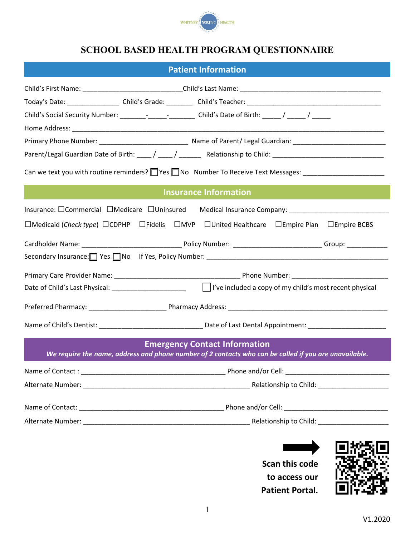

# **SCHOOL BASED HEALTH PROGRAM QUESTIONNAIRE**

## **Patient Information**

| Child's Social Security Number: ________-___________________Child's Date of Birth: _____/ _____/ _______<br>Parent/Legal Guardian Date of Birth: ____/ ____/ _______ Relationship to Child: ______________________________ |                                                                                                                                               |  |  |  |  |  |
|----------------------------------------------------------------------------------------------------------------------------------------------------------------------------------------------------------------------------|-----------------------------------------------------------------------------------------------------------------------------------------------|--|--|--|--|--|
|                                                                                                                                                                                                                            |                                                                                                                                               |  |  |  |  |  |
|                                                                                                                                                                                                                            |                                                                                                                                               |  |  |  |  |  |
|                                                                                                                                                                                                                            |                                                                                                                                               |  |  |  |  |  |
|                                                                                                                                                                                                                            |                                                                                                                                               |  |  |  |  |  |
|                                                                                                                                                                                                                            |                                                                                                                                               |  |  |  |  |  |
| Can we text you with routine reminders? $\Box$ Yes $\Box$ No Number To Receive Text Messages: $\Box$                                                                                                                       |                                                                                                                                               |  |  |  |  |  |
|                                                                                                                                                                                                                            | <b>Insurance Information</b>                                                                                                                  |  |  |  |  |  |
| Insurance: □Commercial □Medicare □Uninsured                                                                                                                                                                                |                                                                                                                                               |  |  |  |  |  |
| $\Box$ Medicaid (Check type) $\Box$ CDPHP $\Box$ Fidelis $\Box$ MVP $\Box$ United Healthcare $\Box$ Empire Plan $\Box$ Empire BCBS                                                                                         |                                                                                                                                               |  |  |  |  |  |
|                                                                                                                                                                                                                            |                                                                                                                                               |  |  |  |  |  |
| Secondary Insurance: Second Yes No If Yes, Policy Number: Communication Control Communication Control of Second                                                                                                            |                                                                                                                                               |  |  |  |  |  |
|                                                                                                                                                                                                                            |                                                                                                                                               |  |  |  |  |  |
|                                                                                                                                                                                                                            |                                                                                                                                               |  |  |  |  |  |
|                                                                                                                                                                                                                            |                                                                                                                                               |  |  |  |  |  |
|                                                                                                                                                                                                                            |                                                                                                                                               |  |  |  |  |  |
|                                                                                                                                                                                                                            | <b>Emergency Contact Information</b><br>We require the name, address and phone number of 2 contacts who can be called if you are unavailable. |  |  |  |  |  |
|                                                                                                                                                                                                                            |                                                                                                                                               |  |  |  |  |  |
|                                                                                                                                                                                                                            |                                                                                                                                               |  |  |  |  |  |
|                                                                                                                                                                                                                            |                                                                                                                                               |  |  |  |  |  |
|                                                                                                                                                                                                                            |                                                                                                                                               |  |  |  |  |  |

**Scan this code to access our Patient Portal.**

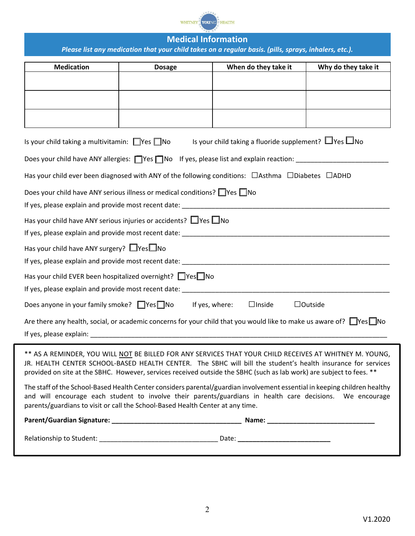

### **Medical Information** *Please list any medication that your child takes on a regular basis. (pills, sprays, inhalers, etc.).*

| <b>Medication</b>                                                                                                                                                                                                                                                                                                                               | <b>Dosage</b> | When do they take it                                             | Why do they take it |  |  |
|-------------------------------------------------------------------------------------------------------------------------------------------------------------------------------------------------------------------------------------------------------------------------------------------------------------------------------------------------|---------------|------------------------------------------------------------------|---------------------|--|--|
|                                                                                                                                                                                                                                                                                                                                                 |               |                                                                  |                     |  |  |
|                                                                                                                                                                                                                                                                                                                                                 |               |                                                                  |                     |  |  |
|                                                                                                                                                                                                                                                                                                                                                 |               |                                                                  |                     |  |  |
|                                                                                                                                                                                                                                                                                                                                                 |               |                                                                  |                     |  |  |
| Is your child taking a multivitamin: $\Box$ Yes $\Box$ No                                                                                                                                                                                                                                                                                       |               | Is your child taking a fluoride supplement? $\Box$ Yes $\Box$ No |                     |  |  |
| Does your child have ANY allergies: Ves No If yes, please list and explain reaction: ______________                                                                                                                                                                                                                                             |               |                                                                  |                     |  |  |
| Has your child ever been diagnosed with ANY of the following conditions: $\Box$ Asthma $\Box$ Diabetes $\Box$ ADHD                                                                                                                                                                                                                              |               |                                                                  |                     |  |  |
| Does your child have ANY serious illness or medical conditions? $\Box$ Yes $\Box$ No                                                                                                                                                                                                                                                            |               |                                                                  |                     |  |  |
|                                                                                                                                                                                                                                                                                                                                                 |               |                                                                  |                     |  |  |
| Has your child have ANY serious injuries or accidents? $\Box$ Yes $\Box$ No                                                                                                                                                                                                                                                                     |               |                                                                  |                     |  |  |
|                                                                                                                                                                                                                                                                                                                                                 |               |                                                                  |                     |  |  |
| Has your child have ANY surgery? $\Box$ Yes $\Box$ No                                                                                                                                                                                                                                                                                           |               |                                                                  |                     |  |  |
|                                                                                                                                                                                                                                                                                                                                                 |               |                                                                  |                     |  |  |
| Has your child EVER been hospitalized overnight? □ Yes□ No                                                                                                                                                                                                                                                                                      |               |                                                                  |                     |  |  |
| If yes, please explain and provide most recent date: ___________________________                                                                                                                                                                                                                                                                |               |                                                                  |                     |  |  |
| Does anyone in your family smoke? $\Box$ Yes $\Box$ No If yes, where:                                                                                                                                                                                                                                                                           |               | $\Box$ Inside                                                    | $\Box$ Outside      |  |  |
| Are there any health, social, or academic concerns for your child that you would like to make us aware of? $\Box$ Yes $\Box$ No                                                                                                                                                                                                                 |               |                                                                  |                     |  |  |
|                                                                                                                                                                                                                                                                                                                                                 |               |                                                                  |                     |  |  |
| ** AS A REMINDER, YOU WILL NOT BE BILLED FOR ANY SERVICES THAT YOUR CHILD RECEIVES AT WHITNEY M. YOUNG,<br>JR. HEALTH CENTER SCHOOL-BASED HEALTH CENTER. The SBHC will bill the student's health insurance for services<br>provided on site at the SBHC. However, services received outside the SBHC (such as lab work) are subject to fees. ** |               |                                                                  |                     |  |  |
| The staff of the School-Based Health Center considers parental/guardian involvement essential in keeping children healthy<br>and will encourage each student to involve their parents/guardians in health care decisions. We encourage<br>parents/guardians to visit or call the School-Based Health Center at any time.                        |               |                                                                  |                     |  |  |
|                                                                                                                                                                                                                                                                                                                                                 |               |                                                                  |                     |  |  |

Relationship to Student: \_\_\_\_\_\_\_\_\_\_\_\_\_\_\_\_\_\_\_\_\_\_\_\_\_\_\_\_\_\_\_\_ Date: **\_\_\_\_\_\_\_\_\_\_\_\_\_\_\_\_\_\_\_\_\_\_\_\_\_**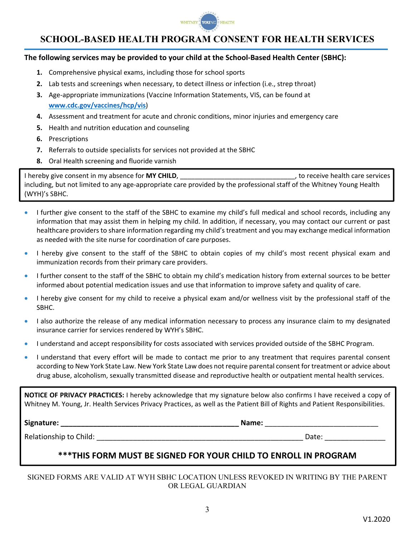

## **SCHOOL-BASED HEALTH PROGRAM CONSENT FOR HEALTH SERVICES**

#### **The following services may be provided to your child at the School‐Based Health Center (SBHC):**

- **1.** Comprehensive physical exams, including those for school sports
- **2.** Lab tests and screenings when necessary, to detect illness or infection (i.e., strep throat)
- **3.** Age‐appropriate immunizations (Vaccine Information Statements, VIS, can be found at **www.cdc.gov/vaccines/hcp/vis**)
- **4.** Assessment and treatment for acute and chronic conditions, minor injuries and emergency care
- **5.** Health and nutrition education and counseling
- **6.** Prescriptions
- **7.** Referrals to outside specialists for services not provided at the SBHC
- **8.** Oral Health screening and fluoride varnish

I hereby give consent in my absence for **MY CHILD**, the consenting the conservices of the services of the services including, but not limited to any age‐appropriate care provided by the professional staff of the Whitney Young Health (WYH)'s SBHC.

- I further give consent to the staff of the SBHC to examine my child's full medical and school records, including any information that may assist them in helping my child. In addition, if necessary, you may contact our current or past healthcare providers to share information regarding my child's treatment and you may exchange medical information as needed with the site nurse for coordination of care purposes.
- I hereby give consent to the staff of the SBHC to obtain copies of my child's most recent physical exam and immunization records from their primary care providers.
- I further consent to the staff of the SBHC to obtain my child's medication history from external sources to be better informed about potential medication issues and use that information to improve safety and quality of care.
- I hereby give consent for my child to receive a physical exam and/or wellness visit by the professional staff of the SBHC.
- I also authorize the release of any medical information necessary to process any insurance claim to my designated insurance carrier for services rendered by WYH's SBHC.
- I understand and accept responsibility for costs associated with services provided outside of the SBHC Program.
- I understand that every effort will be made to contact me prior to any treatment that requires parental consent according to New York State Law. New York State Law does not require parental consent for treatment or advice about drug abuse, alcoholism, sexually transmitted disease and reproductive health or outpatient mental health services.

**NOTICE OF PRIVACY PRACTICES:** I hereby acknowledge that my signature below also confirms I have received a copy of Whitney M. Young, Jr. Health Services Privacy Practices, as well as the Patient Bill of Rights and Patient Responsibilities.

**Signature: \_\_\_\_\_\_\_\_\_\_\_\_\_\_\_\_\_\_\_\_\_\_\_\_\_\_\_\_\_\_\_\_\_\_\_\_\_\_\_\_\_\_\_\_ Name:** \_\_\_\_\_\_\_\_\_\_\_\_\_\_\_\_\_\_\_\_\_\_\_\_\_\_\_\_

Relationship to Child: \_\_\_\_\_\_\_\_\_\_\_\_\_\_\_\_\_\_\_\_\_\_\_\_\_\_\_\_\_\_\_\_\_\_\_\_\_\_\_\_\_\_\_\_\_\_\_\_\_\_\_ Date: \_\_\_\_\_\_\_\_\_\_\_\_\_\_\_

### **\*\*\*THIS FORM MUST BE SIGNED FOR YOUR CHILD TO ENROLL IN PROGRAM**

SIGNED FORMS ARE VALID AT WYH SBHC LOCATION UNLESS REVOKED IN WRITING BY THE PARENT OR LEGAL GUARDIAN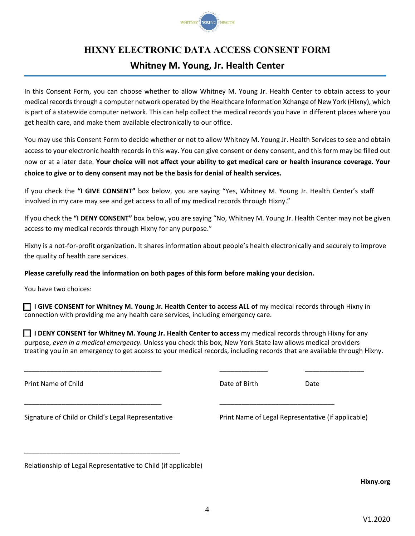

# **HIXNY ELECTRONIC DATA ACCESS CONSENT FORM**

# **Whitney M. Young, Jr. Health Center**

In this Consent Form, you can choose whether to allow Whitney M. Young Jr. Health Center to obtain access to your medical recordsthrough a computer network operated by the Healthcare Information Xchange of New York (Hixny), which is part of a statewide computer network. This can help collect the medical records you have in different places where you get health care, and make them available electronically to our office.

You may use this Consent Form to decide whether or not to allow Whitney M. Young Jr. Health Services to see and obtain access to your electronic health records in this way. You can give consent or deny consent, and this form may be filled out now or at a later date. Your choice will not affect your ability to get medical care or health insurance coverage. Your **choice to give or to deny consent may not be the basis for denial of health services.**

If you check the **"I GIVE CONSENT"** box below, you are saying "Yes, Whitney M. Young Jr. Health Center's staff involved in my care may see and get access to all of my medical records through Hixny."

If you check the **"I DENY CONSENT"** box below, you are saying "No, Whitney M. Young Jr. Health Center may not be given access to my medical records through Hixny for any purpose."

Hixny is a not-for-profit organization. It shares information about people's health electronically and securely to improve the quality of health care services.

### **Please carefully read the information on both pages of this form before making your decision.**

You have two choices:

□ **<sup>I</sup> GIVE CONSENT for Whitney M. Young Jr. Health Center to access ALL of** my medical records through Hixny in connection with providing me any health care services, including emergency care.

□ **<sup>I</sup> DENY CONSENT for Whitney M. Young Jr. Health Center to access** my medical records through Hixny for any purpose, *even in a medical emergency*. Unless you check this box, New York State law allows medical providers treating you in an emergency to get access to your medical records, including records that are available through Hixny.

\_\_\_\_\_\_\_\_\_\_\_\_\_\_\_\_\_\_\_\_\_\_\_\_\_\_\_\_\_\_\_\_\_\_\_\_\_ \_\_\_\_\_\_\_\_\_\_\_\_\_ \_\_\_\_\_\_\_\_\_\_\_\_\_\_\_\_

\_\_\_\_\_\_\_\_\_\_\_\_\_\_\_\_\_\_\_\_\_\_\_\_\_\_\_\_\_\_\_\_\_\_\_\_\_ \_\_\_\_\_\_\_\_\_\_\_\_\_\_\_\_\_\_\_\_\_\_\_\_\_\_\_\_\_\_\_

Print Name of Child **Date of Birth Date of Birth** Date of Birth Date Date of Birth Date Date

Signature of Child or Child's Legal Representative Print Name of Legal Representative (if applicable)

\_\_\_\_\_\_\_\_\_\_\_\_\_\_\_\_\_\_\_\_\_\_\_\_\_\_\_\_\_\_\_\_\_\_\_\_\_\_\_\_\_\_

Relationship of Legal Representative to Child (if applicable)

**Hixny.org**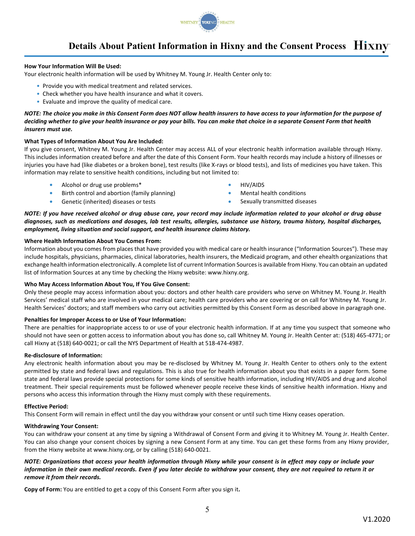

# **Details About Patient Information in Hixny and the Consent Process**

#### **How Your Information Will Be Used:**

Your electronic health information will be used by Whitney M. Young Jr. Health Center only to:

- Provide you with medical treatment and related services.
- Check whether you have health insurance and what it covers.
- Evaluate and improve the quality of medical care.

NOTE: The choice you make in this Consent Form does NOT allow health insurers to have access to your information for the purpose of deciding whether to give your health insurance or pay your bills. You can make that choice in a separate Consent Form that health *insurers must use.*

#### **What Types of Information About You Are Included:**

If you give consent, Whitney M. Young Jr. Health Center may access ALL of your electronic health information available through Hixny. This includes information created before and after the date of this Consent Form. Your health records may include a history of illnesses or injuries you have had (like diabetes or a broken bone), test results (like X-rays or blood tests), and lists of medicines you have taken. This information may relate to sensitive health conditions, including but not limited to:

- **•** Alcohol or drug use problems\* **•** HIV/AIDS
- **•** Birth control and abortion (family planning) **•** Mental health conditions
- **•** Genetic (inherited) diseases or tests **•** Sexually transmitted diseases
- 
- -

NOTE: If you have received alcohol or drug abuse care, your record may include information related to your alcohol or drug abuse diagnoses, such as medications and dosages, lab test results, allergies, substance use history, trauma history, hospital discharges, *employment, living situation and social support, and health insurance claims history.*

#### **Where Health Information About You Comes From:**

Information about you comes from places that have provided you with medical care or health insurance ("Information Sources"). These may include hospitals, physicians, pharmacies, clinical laboratories, health insurers, the Medicaid program, and other ehealth organizations that exchange health information electronically. A complete list of current Information Sourcesis available from Hixny. You can obtain an updated list of Information Sources at any time by checking the Hixny website: www.hixny.org.

#### **Who May Access Information About You, If You Give Consent:**

Only these people may access information about you: doctors and other health care providers who serve on Whitney M. Young Jr. Health Services' medical staff who are involved in your medical care; health care providers who are covering or on call for Whitney M. Young Jr. Health Services' doctors; and staff members who carry out activities permitted by this Consent Form as described above in paragraph one.

#### **Penalties for Improper Access to or Use of Your Information:**

There are penalties for inappropriate access to or use of your electronic health information. If at any time you suspect that someone who should not have seen or gotten access to information about you has done so, call Whitney M. Young Jr. Health Center at: (518) 465‐4771; or call Hixny at (518) 640‐0021; or call the NYS Department of Health at 518‐474‐4987.

#### **Re‐disclosure of Information:**

Any electronic health information about you may be re‐disclosed by Whitney M. Young Jr. Health Center to others only to the extent permitted by state and federal laws and regulations. This is also true for health information about you that exists in a paper form. Some state and federal laws provide special protections for some kinds of sensitive health information, including HIV/AIDS and drug and alcohol treatment. Their special requirements must be followed whenever people receive these kinds of sensitive health information. Hixny and persons who access this information through the Hixny must comply with these requirements.

#### **Effective Period:**

This Consent Form will remain in effect until the day you withdraw your consent or until such time Hixny ceases operation.

#### **Withdrawing Your Consent:**

You can withdraw your consent at any time by signing a Withdrawal of Consent Form and giving it to Whitney M. Young Jr. Health Center. You can also change your consent choices by signing a new Consent Form at any time. You can get these forms from any Hixny provider, from the Hixny website at www.hixny.org, or by calling (518) 640‐0021.

#### NOTE: Organizations that access your health information through Hixny while your consent is in effect may copy or include your information in their own medical records. Even if you later decide to withdraw your consent, they are not required to return it or *remove it from their records.*

**Copy of Form:** You are entitled to get a copy of this Consent Form after you sign it**.**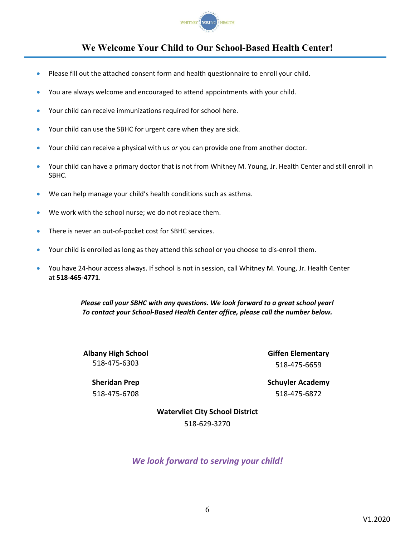

# **We Welcome Your Child to Our School-Based Health Center!**

- Please fill out the attached consent form and health questionnaire to enroll your child.
- You are always welcome and encouraged to attend appointments with your child.
- Your child can receive immunizations required for school here.
- Your child can use the SBHC for urgent care when they are sick.
- Your child can receive a physical with us *or* you can provide one from another doctor.
- Your child can have a primary doctor that is not from Whitney M. Young, Jr. Health Center and still enroll in SBHC.
- We can help manage your child's health conditions such as asthma.
- We work with the school nurse; we do not replace them.
- There is never an out‐of‐pocket cost for SBHC services.
- Your child is enrolled as long as they attend this school or you choose to dis-enroll them.
- You have 24‐hour access always. If school is not in session, call Whitney M. Young, Jr. Health Center at **518‐465‐4771**.

*Please call your SBHC with any questions. We look forward to a great school year! To contact your School‐Based Health Center office, please call the number below.*

**Albany High School** 518‐475‐6303

**Giffen Elementary** 518‐475‐6659

**Schuyler Academy** 518‐475‐6872

**Sheridan Prep** 518‐475‐6708

> **Watervliet City School District** 518‐629‐3270

*We look forward to serving your child!*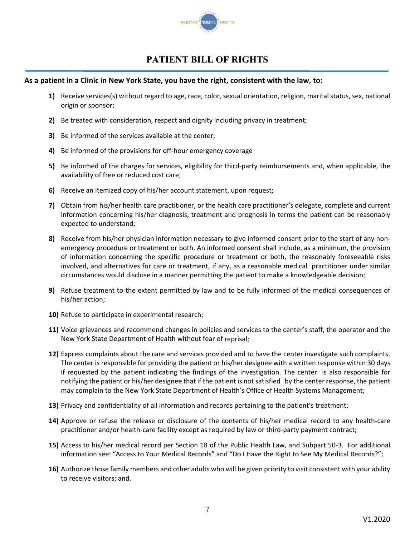

# **PATIENT BILL OF RIGHTS**

#### As a patient in a Clinic in New York State, you have the right, consistent with the law, to:

- **1)** Receive services(s) without regard to age, race, color, sexual orientation, religion, marital status, sex, national origin or sponsor;
- **2)** Be treated with consideration, respect and dignity including privacy in treatment;
- **3)** Be informed of the services available at the center;
- **4)** Be informed of the provisions for off‐hour emergency coverage
- **5)** Be informed of the charges for services, eligibility for third-party reimbursements and, when applicable, the availability of free or reduced cost care;
- **6)** Receive an itemized copy of his/her account statement, upon request;
- **7)** Obtain from his/her health care practitioner, or the health care practitioner's delegate, complete and current information concerning his/her diagnosis, treatment and prognosis in terms the patient can be reasonably expected to understand;
- **8)** Receive from his/her physician information necessary to give informed consent prior to the start of any non‐ emergency procedure or treatment or both. An informed consent shall include, as a minimum, the provision of information concerning the specific procedure or treatment or both, the reasonably foreseeable risks involved, and alternatives for care or treatment, if any, as a reasonable medical practitioner under similar circumstances would disclose in a manner permitting the patient to make a knowledgeable decision;
- **9)** Refuse treatment to the extent permitted by law and to be fully informed of the medical consequences of his/her action;
- **10)** Refuse to participate in experimental research;
- **11)** Voice grievances and recommend changes in policies and services to the center's staff, the operator and the New York State Department of Health without fear of reprisal;
- **12)** Express complaints about the care and services provided and to have the center investigate such complaints. The center is responsible for providing the patient or his/her designee with a written response within 30 days if requested by the patient indicating the findings of the investigation. The center is also responsible for notifying the patient or his/her designee that if the patient is not satisfied by the center response, the patient may complain to the New York State Department of Health's Office of Health Systems Management;
- **13)** Privacy and confidentiality of all information and records pertaining to the patient's treatment;
- **14)** Approve or refuse the release or disclosure of the contents of his/her medical record to any health‐care practitioner and/or health‐care facility except as required by law or third‐party payment contract;
- **15)** Access to his/her medical record per Section 18 of the Public Health Law, and Subpart 50‐3. For additional information see: "Access to Your Medical Records" and "Do I Have the Right to See My Medical Records?";
- **16)** Authorize those family members and other adults who will be given priority to visit consistent with your ability to receive visitors; and.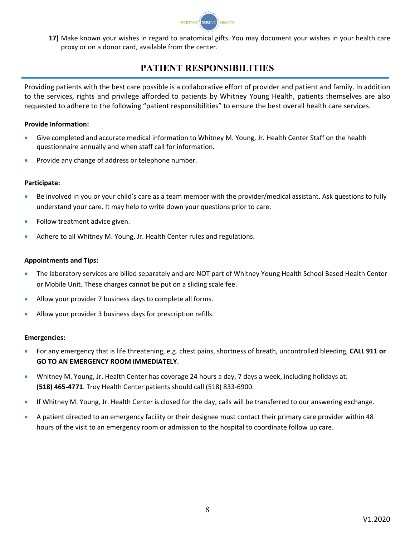

**17)** Make known your wishes in regard to anatomical gifts. You may document your wishes in your health care proxy or on a donor card, available from the center.

# **PATIENT RESPONSIBILITIES**

Providing patients with the best care possible is a collaborative effort of provider and patient and family. In addition to the services, rights and privilege afforded to patients by Whitney Young Health, patients themselves are also requested to adhere to the following "patient responsibilities" to ensure the best overall health care services.

#### **Provide Information:**

- Give completed and accurate medical information to Whitney M. Young, Jr. Health Center Staff on the health questionnaire annually and when staff call for information.
- Provide any change of address or telephone number.

#### **Participate:**

- Be involved in you or your child's care as a team member with the provider/medical assistant. Ask questions to fully understand your care. It may help to write down your questions prior to care.
- Follow treatment advice given.
- Adhere to all Whitney M. Young, Jr. Health Center rules and regulations.

#### **Appointments and Tips:**

- The laboratory services are billed separately and are NOT part of Whitney Young Health School Based Health Center or Mobile Unit. These charges cannot be put on a sliding scale fee.
- Allow your provider 7 business days to complete all forms.
- Allow your provider 3 business days for prescription refills.

#### **Emergencies:**

- For any emergency that is life threatening, e.g. chest pains, shortness of breath, uncontrolled bleeding, **CALL 911 or GO TO AN EMERGENCY ROOM IMMEDIATELY**.
- Whitney M. Young, Jr. Health Center has coverage 24 hours a day, 7 days a week, including holidays at: **(518) 465‐4771**. Troy Health Center patients should call (518) 833‐6900.
- If Whitney M. Young, Jr. Health Center is closed for the day, calls will be transferred to our answering exchange.
- A patient directed to an emergency facility or their designee must contact their primary care provider within 48 hours of the visit to an emergency room or admission to the hospital to coordinate follow up care.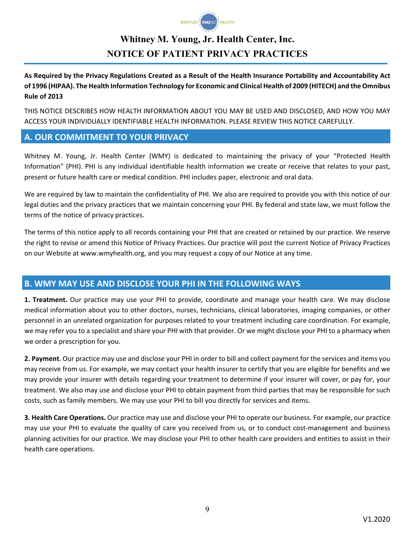

# **Whitney M. Young, Jr. Health Center, Inc. NOTICE OF PATIENT PRIVACY PRACTICES**

As Required by the Privacy Regulations Created as a Result of the Health Insurance Portability and Accountability Act of 1996 (HIPAA). The Health Information Technology for Economic and Clinical Health of 2009 (HITECH) and the Omnibus **Rule of 2013**

THIS NOTICE DESCRIBES HOW HEALTH INFORMATION ABOUT YOU MAY BE USED AND DISCLOSED, AND HOW YOU MAY ACCESS YOUR INDIVIDUALLY IDENTIFIABLE HEALTH INFORMATION. PLEASE REVIEW THIS NOTICE CAREFULLY.

### **A. OUR COMMITMENT TO YOUR PRIVACY**

Whitney M. Young, Jr. Health Center (WMY) is dedicated to maintaining the privacy of your "Protected Health Information" (PHI). PHI is any individual identifiable health information we create or receive that relates to your past, present or future health care or medical condition. PHI includes paper, electronic and oral data.

We are required by law to maintain the confidentiality of PHI. We also are required to provide you with this notice of our legal duties and the privacy practices that we maintain concerning your PHI. By federal and state law, we must follow the terms of the notice of privacy practices.

The terms of this notice apply to all records containing your PHI that are created or retained by our practice. We reserve the right to revise or amend this Notice of Privacy Practices. Our practice will post the current Notice of Privacy Practices on our Website at www.wmyhealth.org, and you may request a copy of our Notice at any time.

### **B. WMY MAY USE AND DISCLOSE YOUR PHI IN THE FOLLOWING WAYS**

**1. Treatment.** Our practice may use your PHI to provide, coordinate and manage your health care. We may disclose medical information about you to other doctors, nurses, technicians, clinical laboratories, imaging companies, or other personnel in an unrelated organization for purposes related to your treatment including care coordination. For example, we may refer you to a specialist and share your PHI with that provider. Or we might disclose your PHI to a pharmacy when we order a prescription for you.

**2. Payment**. Our practice may use and disclose your PHI in order to bill and collect payment for the services and items you may receive from us. For example, we may contact your health insurer to certify that you are eligible for benefits and we may provide your insurer with details regarding your treatment to determine if your insurer will cover, or pay for, your treatment. We also may use and disclose your PHI to obtain payment from third parties that may be responsible for such costs, such as family members. We may use your PHI to bill you directly for services and items.

**3. Health Care Operations.** Our practice may use and disclose your PHI to operate our business. For example, our practice may use your PHI to evaluate the quality of care you received from us, or to conduct cost-management and business planning activities for our practice. We may disclose your PHI to other health care providers and entities to assist in their health care operations.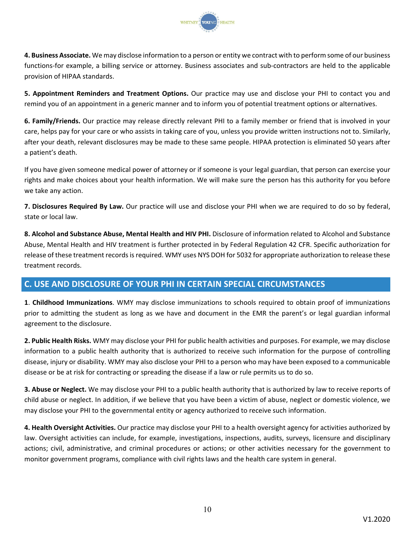

**4. Business Associate.** We may disclose information to a person or entity we contract with to perform some of our business functions-for example, a billing service or attorney. Business associates and sub-contractors are held to the applicable provision of HIPAA standards.

**5. Appointment Reminders and Treatment Options.** Our practice may use and disclose your PHI to contact you and remind you of an appointment in a generic manner and to inform you of potential treatment options or alternatives.

**6. Family/Friends.** Our practice may release directly relevant PHI to a family member or friend that is involved in your care, helps pay for your care or who assists in taking care of you, unless you provide written instructions not to. Similarly, after your death, relevant disclosures may be made to these same people. HIPAA protection is eliminated 50 years after a patient's death.

If you have given someone medical power of attorney or if someone is your legal guardian, that person can exercise your rights and make choices about your health information. We will make sure the person has this authority for you before we take any action.

**7. Disclosures Required By Law.** Our practice will use and disclose your PHI when we are required to do so by federal, state or local law.

**8. Alcohol and Substance Abuse, Mental Health and HIV PHI.** Disclosure of information related to Alcohol and Substance Abuse, Mental Health and HIV treatment is further protected in by Federal Regulation 42 CFR. Specific authorization for release of these treatment records is required. WMY uses NYS DOH for 5032 for appropriate authorization to release these treatment records.

# **C. USE AND DISCLOSURE OF YOUR PHI IN CERTAIN SPECIAL CIRCUMSTANCES**

**1**. **Childhood Immunizations**. WMY may disclose immunizations to schools required to obtain proof of immunizations prior to admitting the student as long as we have and document in the EMR the parent's or legal guardian informal agreement to the disclosure.

**2. Public Health Risks.** WMY may disclose your PHI for public health activities and purposes. For example, we may disclose information to a public health authority that is authorized to receive such information for the purpose of controlling disease, injury or disability. WMY may also disclose your PHI to a person who may have been exposed to a communicable disease or be at risk for contracting or spreading the disease if a law or rule permits us to do so.

**3. Abuse or Neglect.** We may disclose your PHI to a public health authority that is authorized by law to receive reports of child abuse or neglect. In addition, if we believe that you have been a victim of abuse, neglect or domestic violence, we may disclose your PHI to the governmental entity or agency authorized to receive such information.

**4. Health Oversight Activities.** Our practice may disclose your PHI to a health oversight agency for activities authorized by law. Oversight activities can include, for example, investigations, inspections, audits, surveys, licensure and disciplinary actions; civil, administrative, and criminal procedures or actions; or other activities necessary for the government to monitor government programs, compliance with civil rights laws and the health care system in general.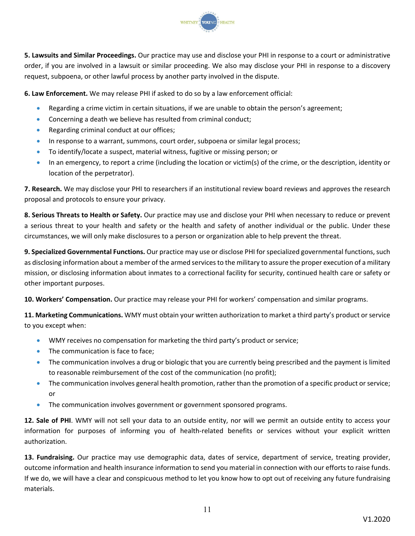

**5. Lawsuits and Similar Proceedings.** Our practice may use and disclose your PHI in response to a court or administrative order, if you are involved in a lawsuit or similar proceeding. We also may disclose your PHI in response to a discovery request, subpoena, or other lawful process by another party involved in the dispute.

**6. Law Enforcement.** We may release PHI if asked to do so by a law enforcement official:

- Regarding a crime victim in certain situations, if we are unable to obtain the person's agreement;
- Concerning a death we believe has resulted from criminal conduct;
- Regarding criminal conduct at our offices;
- In response to a warrant, summons, court order, subpoena or similar legal process;
- To identify/locate a suspect, material witness, fugitive or missing person; or
- In an emergency, to report a crime (including the location or victim(s) of the crime, or the description, identity or location of the perpetrator).

**7. Research.** We may disclose your PHI to researchers if an institutional review board reviews and approves the research proposal and protocols to ensure your privacy.

**8. Serious Threats to Health or Safety.** Our practice may use and disclose your PHI when necessary to reduce or prevent a serious threat to your health and safety or the health and safety of another individual or the public. Under these circumstances, we will only make disclosures to a person or organization able to help prevent the threat.

**9. Specialized Governmental Functions.** Our practice may use or disclose PHI for specialized governmental functions, such as disclosing information about a member of the armed services to the military to assure the proper execution of a military mission, or disclosing information about inmates to a correctional facility for security, continued health care or safety or other important purposes.

**10. Workers' Compensation.** Our practice may release your PHI for workers' compensation and similar programs.

**11. Marketing Communications.** WMY must obtain your written authorization to market a third party's product orservice to you except when:

- WMY receives no compensation for marketing the third party's product or service;
- The communication is face to face;
- The communication involves a drug or biologic that you are currently being prescribed and the payment is limited to reasonable reimbursement of the cost of the communication (no profit);
- The communication involves general health promotion, rather than the promotion of a specific product or service; or
- The communication involves government or government sponsored programs.

**12. Sale of PHI**. WMY will not sell your data to an outside entity, nor will we permit an outside entity to access your information for purposes of informing you of health-related benefits or services without your explicit written authorization.

**13. Fundraising.** Our practice may use demographic data, dates of service, department of service, treating provider, outcome information and health insurance information to send you material in connection with our efforts to raise funds. If we do, we will have a clear and conspicuous method to let you know how to opt out of receiving any future fundraising materials.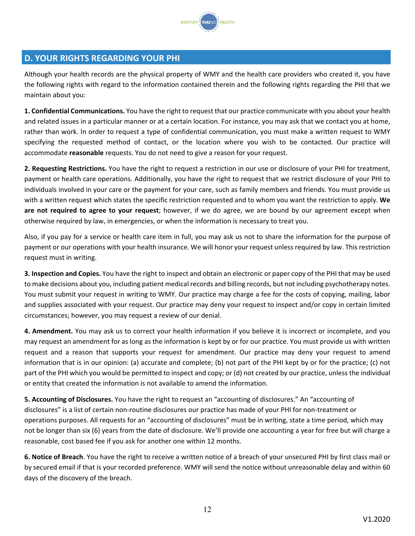

## **D. YOUR RIGHTS REGARDING YOUR PHI**

Although your health records are the physical property of WMY and the health care providers who created it, you have the following rights with regard to the information contained therein and the following rights regarding the PHI that we maintain about you:

**1. Confidential Communications.** You have the right to request that our practice communicate with you about your health and related issues in a particular manner or at a certain location. For instance, you may ask that we contact you at home, rather than work. In order to request a type of confidential communication, you must make a written request to WMY specifying the requested method of contact, or the location where you wish to be contacted. Our practice will accommodate **reasonable** requests. You do not need to give a reason for your request.

**2. Requesting Restrictions.** You have the right to request a restriction in our use or disclosure of your PHI for treatment, payment or health care operations. Additionally, you have the right to request that we restrict disclosure of your PHI to individuals involved in your care or the payment for your care, such as family members and friends. You must provide us with a written request which states the specific restriction requested and to whom you want the restriction to apply. **We are not required to agree to your request**; however, if we do agree, we are bound by our agreement except when otherwise required by law, in emergencies, or when the information is necessary to treat you.

Also, if you pay for a service or health care item in full, you may ask us not to share the information for the purpose of payment or our operations with your health insurance. We will honor your request unless required by law. This restriction request must in writing.

**3. Inspection and Copies.** You have the right to inspect and obtain an electronic or paper copy of the PHI that may be used to make decisions about you, including patient medical records and billing records, but not including psychotherapy notes. You must submit your request in writing to WMY. Our practice may charge a fee for the costs of copying, mailing, labor and supplies associated with your request. Our practice may deny your request to inspect and/or copy in certain limited circumstances; however, you may request a review of our denial.

**4. Amendment.** You may ask us to correct your health information if you believe it is incorrect or incomplete, and you may request an amendment for as long as the information is kept by or for our practice. You must provide us with written request and a reason that supports your request for amendment. Our practice may deny your request to amend information that is in our opinion: (a) accurate and complete; (b) not part of the PHI kept by or for the practice; (c) not part of the PHI which you would be permitted to inspect and copy; or (d) not created by our practice, unless the individual or entity that created the information is not available to amend the information.

**5. Accounting of Disclosures.** You have the right to request an "accounting of disclosures." An "accounting of disclosures" is a list of certain non‐routine disclosures our practice has made of your PHI for non‐treatment or operations purposes. All requests for an "accounting of disclosures" must be in writing, state a time period, which may not be longer than six (6) years from the date of disclosure. We'll provide one accounting a year for free but will charge a reasonable, cost based fee if you ask for another one within 12 months.

**6. Notice of Breach**. You have the right to receive a written notice of a breach of your unsecured PHI by first class mail or by secured email if that is your recorded preference. WMY will send the notice without unreasonable delay and within 60 days of the discovery of the breach.